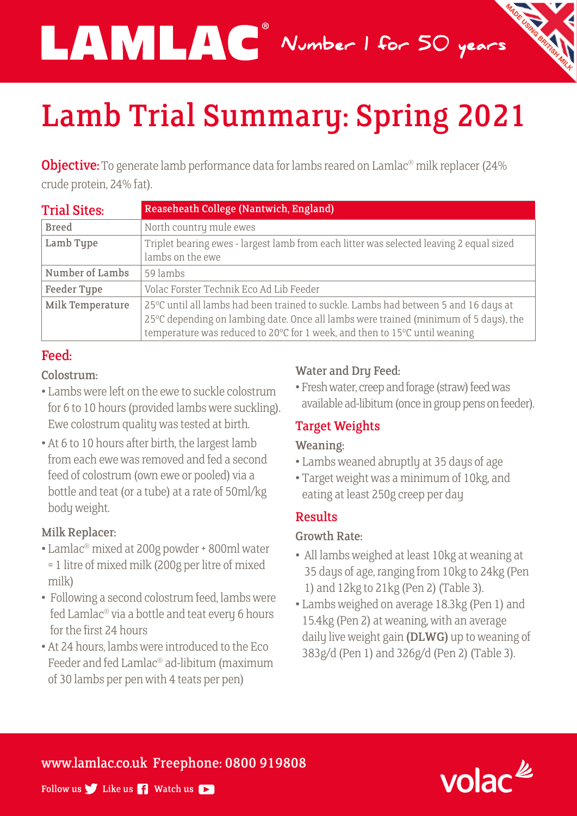Number 1 for 50 years

# Lamb Trial Summary: Spring 2021

®

**Objective:** To generate lamb performance data for lambs reared on Lamlac<sup>®</sup> milk replacer (24% crude protein, 24% fat).

| <b>Trial Sites:</b> | Reaseheath College (Nantwich, England)                                                                                                                                                                                                                   |
|---------------------|----------------------------------------------------------------------------------------------------------------------------------------------------------------------------------------------------------------------------------------------------------|
| <b>Breed</b>        | North country mule ewes                                                                                                                                                                                                                                  |
| Lamb Type           | Triplet bearing ewes - largest lamb from each litter was selected leaving 2 equal sized<br>lambs on the ewe                                                                                                                                              |
| Number of Lambs     | 59 lambs                                                                                                                                                                                                                                                 |
| <b>Feeder Type</b>  | Volac Forster Technik Eco Ad Lib Feeder                                                                                                                                                                                                                  |
| Milk Temperature    | 25°C until all lambs had been trained to suckle. Lambs had between 5 and 16 days at<br>25°C depending on lambing date. Once all lambs were trained (minimum of 5 days), the<br>temperature was reduced to 20℃ for 1 week, and then to 15°C until weaning |

# Feed:

#### Colostrum:

- Lambs were left on the ewe to suckle colostrum for 6 to 10 hours (provided lambs were suckling). Ewe colostrum quality was tested at birth.
- At 6 to 10 hours after birth, the largest lamb from each ewe was removed and fed a second feed of colostrum (own ewe or pooled) via a bottle and teat (or a tube) at a rate of 50ml/kg body weight.

# Milk Replacer:

- Lamlac® mixed at 200g powder + 800ml water = 1 litre of mixed milk (200g per litre of mixed milk)
- Following a second colostrum feed, lambs were fed Lamlac® via a bottle and teat every 6 hours for the first 24 hours
- At 24 hours, lambs were introduced to the Eco Feeder and fed Lamlac® ad-libitum (maximum of 30 lambs per pen with 4 teats per pen)

# Water and Dry Feed:

• Fresh water, creep and forage (straw) feed was available ad-libitum (once in group pens on feeder).

# Target Weights

#### Weaning:

- Lambs weaned abruptly at 35 days of age
- Target weight was a minimum of 10kg, and eating at least 250g creep per day

# Results

# Growth Rate:

- All lambs weighed at least 10kg at weaning at 35 days of age, ranging from 10kg to 24kg (Pen 1) and 12kg to 21kg (Pen 2) (Table 3).
- Lambs weighed on average 18.3kg (Pen 1) and 15.4kg (Pen 2) at weaning, with an average daily live weight gain (DLWG) up to weaning of 383g/d (Pen 1) and 326g/d (Pen 2) (Table 3).

# www.lamlac.co.uk Freephone: 0800 919808



Follow us  $\blacktriangleright$  Like us  $\blacktriangleright$  Watch us  $\blacktriangleright$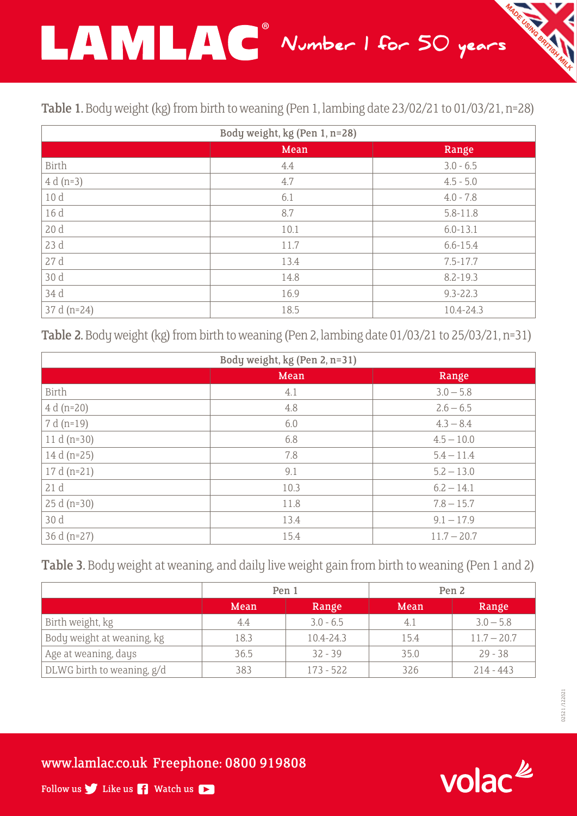

|  | Table 1. Body weight (kg) from birth to weaning (Pen 1, lambing date 23/02/21 to 01/03/21, n=28) |
|--|--------------------------------------------------------------------------------------------------|
|--|--------------------------------------------------------------------------------------------------|

| Body weight, kg (Pen 1, n=28) |      |              |  |  |  |
|-------------------------------|------|--------------|--|--|--|
|                               | Mean | Range        |  |  |  |
| Birth                         | 4.4  | $3.0 - 6.5$  |  |  |  |
| $4 d (n=3)$                   | 4.7  | $4.5 - 5.0$  |  |  |  |
| 10d                           | 6.1  | $4.0 - 7.8$  |  |  |  |
| 16 d                          | 8.7  | $5.8 - 11.8$ |  |  |  |
| 20d                           | 10.1 | $6.0 - 13.1$ |  |  |  |
| 23 d                          | 11.7 | $6.6 - 15.4$ |  |  |  |
| 27 d                          | 13.4 | $7.5 - 17.7$ |  |  |  |
| 30 d                          | 14.8 | $8.2 - 19.3$ |  |  |  |
| 34 d                          | 16.9 | $9.3 - 22.3$ |  |  |  |
| 37 d (n=24)                   | 18.5 | 10.4-24.3    |  |  |  |

Table 2. Body weight (kg) from birth to weaning (Pen 2, lambing date 01/03/21 to 25/03/21, n=31)

| Body weight, kg (Pen 2, n=31) |      |               |  |  |  |
|-------------------------------|------|---------------|--|--|--|
|                               | Mean | Range         |  |  |  |
| Birth                         | 4.1  | $3.0 - 5.8$   |  |  |  |
| $4 d (n=20)$                  | 4.8  | $2.6 - 6.5$   |  |  |  |
| 7 d (n=19)                    | 6.0  | $4.3 - 8.4$   |  |  |  |
| 11 d $(n=30)$                 | 6.8  | $4.5 - 10.0$  |  |  |  |
| 14 d $(n=25)$                 | 7.8  | $5.4 - 11.4$  |  |  |  |
| $17 d (n=21)$                 | 9.1  | $5.2 - 13.0$  |  |  |  |
| 21d                           | 10.3 | $6.2 - 14.1$  |  |  |  |
| $25 d (n=30)$                 | 11.8 | $7.8 - 15.7$  |  |  |  |
| 30 d                          | 13.4 | $9.1 - 17.9$  |  |  |  |
| 36 d $(n=27)$                 | 15.4 | $11.7 - 20.7$ |  |  |  |

Table 3. Body weight at weaning, and daily live weight gain from birth to weaning (Pen 1 and 2)

|                            | Pen 1 |               | Pen <sub>2</sub> |               |
|----------------------------|-------|---------------|------------------|---------------|
|                            | Mean  | Range         | Mean             | Range         |
| Birth weight, kg           | 4.4   | $3.0 - 6.5$   | 4.1              | $3.0 - 5.8$   |
| Body weight at weaning, kg | 18.3  | $10.4 - 24.3$ | 15.4             | $11.7 - 20.7$ |
| Age at weaning, days       | 36.5  | $32 - 39$     | 35.0             | $29 - 38$     |
| DLWG birth to weaning, g/d | 383   | $173 - 522$   | 326              | $214 - 443$   |

 02521 /122021 02521/12202

www.lamlac.co.uk Freephone: 0800 919808



Follow us  $\blacktriangleright$  Like us  $\blacktriangleright$  Watch us  $\blacktriangleright$